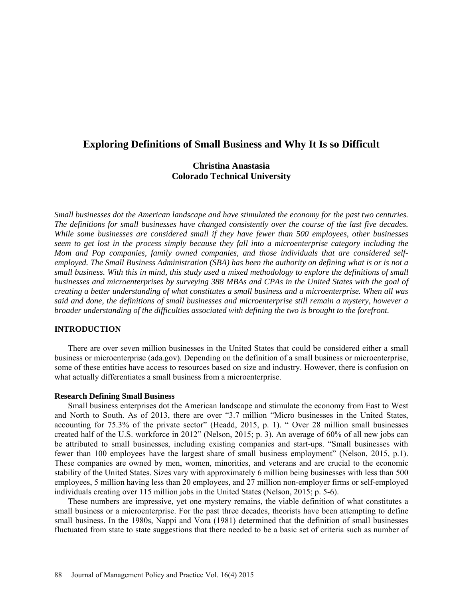# **Exploring Definitions of Small Business and Why It Is so Difficult**

## **Christina Anastasia Colorado Technical University**

*Small businesses dot the American landscape and have stimulated the economy for the past two centuries. The definitions for small businesses have changed consistently over the course of the last five decades. While some businesses are considered small if they have fewer than 500 employees, other businesses seem to get lost in the process simply because they fall into a microenterprise category including the*  Mom and Pop companies, family owned companies, and those individuals that are considered self*employed. The Small Business Administration (SBA) has been the authority on defining what is or is not a small business. With this in mind, this study used a mixed methodology to explore the definitions of small businesses and microenterprises by surveying 388 MBAs and CPAs in the United States with the goal of creating a better understanding of what constitutes a small business and a microenterprise. When all was said and done, the definitions of small businesses and microenterprise still remain a mystery, however a broader understanding of the difficulties associated with defining the two is brought to the forefront.*

### **INTRODUCTION**

There are over seven million businesses in the United States that could be considered either a small business or microenterprise (ada.gov). Depending on the definition of a small business or microenterprise, some of these entities have access to resources based on size and industry. However, there is confusion on what actually differentiates a small business from a microenterprise.

#### **Research Defining Small Business**

Small business enterprises dot the American landscape and stimulate the economy from East to West and North to South. As of 2013, there are over "3.7 million "Micro businesses in the United States, accounting for 75.3% of the private sector" (Headd, 2015, p. 1). " Over 28 million small businesses created half of the U.S. workforce in 2012" (Nelson, 2015; p. 3). An average of 60% of all new jobs can be attributed to small businesses, including existing companies and start-ups. "Small businesses with fewer than 100 employees have the largest share of small business employment" (Nelson, 2015, p.1). These companies are owned by men, women, minorities, and veterans and are crucial to the economic stability of the United States. Sizes vary with approximately 6 million being businesses with less than 500 employees, 5 million having less than 20 employees, and 27 million non-employer firms or self-employed individuals creating over 115 million jobs in the United States (Nelson, 2015; p. 5-6).

These numbers are impressive, yet one mystery remains, the viable definition of what constitutes a small business or a microenterprise. For the past three decades, theorists have been attempting to define small business. In the 1980s, Nappi and Vora (1981) determined that the definition of small businesses fluctuated from state to state suggestions that there needed to be a basic set of criteria such as number of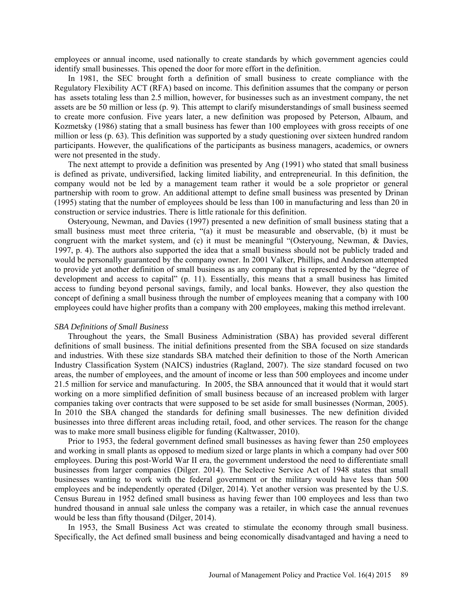employees or annual income, used nationally to create standards by which government agencies could identify small businesses. This opened the door for more effort in the definition.

In 1981, the SEC brought forth a definition of small business to create compliance with the Regulatory Flexibility ACT (RFA) based on income. This definition assumes that the company or person has assets totaling less than 2.5 million, however, for businesses such as an investment company, the net assets are be 50 million or less (p. 9). This attempt to clarify misunderstandings of small business seemed to create more confusion. Five years later, a new definition was proposed by Peterson, Albaum, and Kozmetsky (1986) stating that a small business has fewer than 100 employees with gross receipts of one million or less (p. 63). This definition was supported by a study questioning over sixteen hundred random participants. However, the qualifications of the participants as business managers, academics, or owners were not presented in the study.

The next attempt to provide a definition was presented by Ang (1991) who stated that small business is defined as private, undiversified, lacking limited liability, and entrepreneurial. In this definition, the company would not be led by a management team rather it would be a sole proprietor or general partnership with room to grow. An additional attempt to define small business was presented by Drinan (1995) stating that the number of employees should be less than 100 in manufacturing and less than 20 in construction or service industries. There is little rationale for this definition.

Osteryoung, Newman, and Davies (1997) presented a new definition of small business stating that a small business must meet three criteria, "(a) it must be measurable and observable, (b) it must be congruent with the market system, and (c) it must be meaningful "(Osteryoung, Newman, & Davies, 1997, p. 4). The authors also supported the idea that a small business should not be publicly traded and would be personally guaranteed by the company owner. In 2001 Valker, Phillips, and Anderson attempted to provide yet another definition of small business as any company that is represented by the "degree of development and access to capital" (p. 11). Essentially, this means that a small business has limited access to funding beyond personal savings, family, and local banks. However, they also question the concept of defining a small business through the number of employees meaning that a company with 100 employees could have higher profits than a company with 200 employees, making this method irrelevant.

#### *SBA Definitions of Small Business*

Throughout the years, the Small Business Administration (SBA) has provided several different definitions of small business. The initial definitions presented from the SBA focused on size standards and industries. With these size standards SBA matched their definition to those of the North American Industry Classification System (NAICS) industries (Ragland, 2007). The size standard focused on two areas, the number of employees, and the amount of income or less than 500 employees and income under 21.5 million for service and manufacturing. In 2005, the SBA announced that it would that it would start working on a more simplified definition of small business because of an increased problem with larger companies taking over contracts that were supposed to be set aside for small businesses (Norman, 2005). In 2010 the SBA changed the standards for defining small businesses. The new definition divided businesses into three different areas including retail, food, and other services. The reason for the change was to make more small business eligible for funding (Kaltwasser, 2010).

Prior to 1953, the federal government defined small businesses as having fewer than 250 employees and working in small plants as opposed to medium sized or large plants in which a company had over 500 employees. During this post-World War II era, the government understood the need to differentiate small businesses from larger companies (Dilger. 2014). The Selective Service Act of 1948 states that small businesses wanting to work with the federal government or the military would have less than 500 employees and be independently operated (Dilger, 2014). Yet another version was presented by the U.S. Census Bureau in 1952 defined small business as having fewer than 100 employees and less than two hundred thousand in annual sale unless the company was a retailer, in which case the annual revenues would be less than fifty thousand (Dilger, 2014).

In 1953, the Small Business Act was created to stimulate the economy through small business. Specifically, the Act defined small business and being economically disadvantaged and having a need to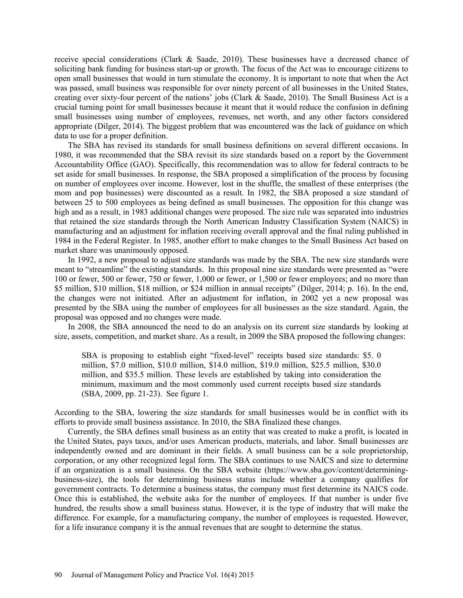receive special considerations (Clark & Saade, 2010). These businesses have a decreased chance of soliciting bank funding for business start-up or growth. The focus of the Act was to encourage citizens to open small businesses that would in turn stimulate the economy. It is important to note that when the Act was passed, small business was responsible for over ninety percent of all businesses in the United States, creating over sixty-four percent of the nations' jobs (Clark & Saade, 2010). The Small Business Act is a crucial turning point for small businesses because it meant that it would reduce the confusion in defining small businesses using number of employees, revenues, net worth, and any other factors considered appropriate (Dilger, 2014). The biggest problem that was encountered was the lack of guidance on which data to use for a proper definition.

The SBA has revised its standards for small business definitions on several different occasions. In 1980, it was recommended that the SBA revisit its size standards based on a report by the Government Accountability Office (GAO). Specifically, this recommendation was to allow for federal contracts to be set aside for small businesses. In response, the SBA proposed a simplification of the process by focusing on number of employees over income. However, lost in the shuffle, the smallest of these enterprises (the mom and pop businesses) were discounted as a result. In 1982, the SBA proposed a size standard of between 25 to 500 employees as being defined as small businesses. The opposition for this change was high and as a result, in 1983 additional changes were proposed. The size rule was separated into industries that retained the size standards through the North American Industry Classification System (NAICS) in manufacturing and an adjustment for inflation receiving overall approval and the final ruling published in 1984 in the Federal Register. In 1985, another effort to make changes to the Small Business Act based on market share was unanimously opposed.

In 1992, a new proposal to adjust size standards was made by the SBA. The new size standards were meant to "streamline" the existing standards. In this proposal nine size standards were presented as "were 100 or fewer, 500 or fewer, 750 or fewer, 1,000 or fewer, or 1,500 or fewer employees; and no more than \$5 million, \$10 million, \$18 million, or \$24 million in annual receipts" (Dilger, 2014; p. 16). In the end, the changes were not initiated. After an adjustment for inflation, in 2002 yet a new proposal was presented by the SBA using the number of employees for all businesses as the size standard. Again, the proposal was opposed and no changes were made.

In 2008, the SBA announced the need to do an analysis on its current size standards by looking at size, assets, competition, and market share. As a result, in 2009 the SBA proposed the following changes:

SBA is proposing to establish eight "fixed-level" receipts based size standards: \$5. 0 million, \$7.0 million, \$10.0 million, \$14.0 million, \$19.0 million, \$25.5 million, \$30.0 million, and \$35.5 million. These levels are established by taking into consideration the minimum, maximum and the most commonly used current receipts based size standards (SBA, 2009, pp. 21-23). See figure 1.

According to the SBA, lowering the size standards for small businesses would be in conflict with its efforts to provide small business assistance. In 2010, the SBA finalized these changes.

Currently, the SBA defines small business as an entity that was created to make a profit, is located in the United States, pays taxes, and/or uses American products, materials, and labor. Small businesses are independently owned and are dominant in their fields. A small business can be a sole proprietorship, corporation, or any other recognized legal form. The SBA continues to use NAICS and size to determine if an organization is a small business. On the SBA website (https://www.sba.gov/content/determiningbusiness-size), the tools for determining business status include whether a company qualifies for government contracts. To determine a business status, the company must first determine its NAICS code. Once this is established, the website asks for the number of employees. If that number is under five hundred, the results show a small business status. However, it is the type of industry that will make the difference. For example, for a manufacturing company, the number of employees is requested. However, for a life insurance company it is the annual revenues that are sought to determine the status.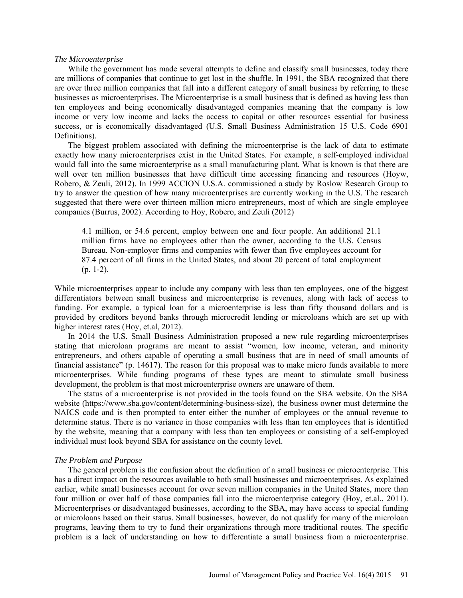#### *The Microenterprise*

While the government has made several attempts to define and classify small businesses, today there are millions of companies that continue to get lost in the shuffle. In 1991, the SBA recognized that there are over three million companies that fall into a different category of small business by referring to these businesses as microenterprises. The Microenterprise is a small business that is defined as having less than ten employees and being economically disadvantaged companies meaning that the company is low income or very low income and lacks the access to capital or other resources essential for business success, or is economically disadvantaged (U.S. Small Business Administration 15 U.S. Code 6901 Definitions).

The biggest problem associated with defining the microenterprise is the lack of data to estimate exactly how many microenterprises exist in the United States. For example, a self-employed individual would fall into the same microenterprise as a small manufacturing plant. What is known is that there are well over ten million businesses that have difficult time accessing financing and resources (Hoyw, Robero, & Zeuli, 2012). In 1999 ACCION U.S.A. commissioned a study by Roslow Research Group to try to answer the question of how many microenterprises are currently working in the U.S. The research suggested that there were over thirteen million micro entrepreneurs, most of which are single employee companies (Burrus, 2002). According to Hoy, Robero, and Zeuli (2012)

4.1 million, or 54.6 percent, employ between one and four people. An additional 21.1 million firms have no employees other than the owner, according to the U.S. Census Bureau. Non-employer firms and companies with fewer than five employees account for 87.4 percent of all firms in the United States, and about 20 percent of total employment (p. 1-2).

While microenterprises appear to include any company with less than ten employees, one of the biggest differentiators between small business and microenterprise is revenues, along with lack of access to funding. For example, a typical loan for a microenterprise is less than fifty thousand dollars and is provided by creditors beyond banks through microcredit lending or microloans which are set up with higher interest rates (Hoy, et.al, 2012).

In 2014 the U.S. Small Business Administration proposed a new rule regarding microenterprises stating that microloan programs are meant to assist "women, low income, veteran, and minority entrepreneurs, and others capable of operating a small business that are in need of small amounts of financial assistance" (p. 14617). The reason for this proposal was to make micro funds available to more microenterprises. While funding programs of these types are meant to stimulate small business development, the problem is that most microenterprise owners are unaware of them.

The status of a microenterprise is not provided in the tools found on the SBA website. On the SBA website [\(https://www.sba.gov/content/determining-business-size\)](https://www.sba.gov/content/determining-business-size), the business owner must determine the NAICS code and is then prompted to enter either the number of employees or the annual revenue to determine status. There is no variance in those companies with less than ten employees that is identified by the website, meaning that a company with less than ten employees or consisting of a self-employed individual must look beyond SBA for assistance on the county level.

#### *The Problem and Purpose*

The general problem is the confusion about the definition of a small business or microenterprise. This has a direct impact on the resources available to both small businesses and microenterprises. As explained earlier, while small businesses account for over seven million companies in the United States, more than four million or over half of those companies fall into the microenterprise category (Hoy, et.al., 2011). Microenterprises or disadvantaged businesses, according to the SBA, may have access to special funding or microloans based on their status. Small businesses, however, do not qualify for many of the microloan programs, leaving them to try to fund their organizations through more traditional routes. The specific problem is a lack of understanding on how to differentiate a small business from a microenterprise.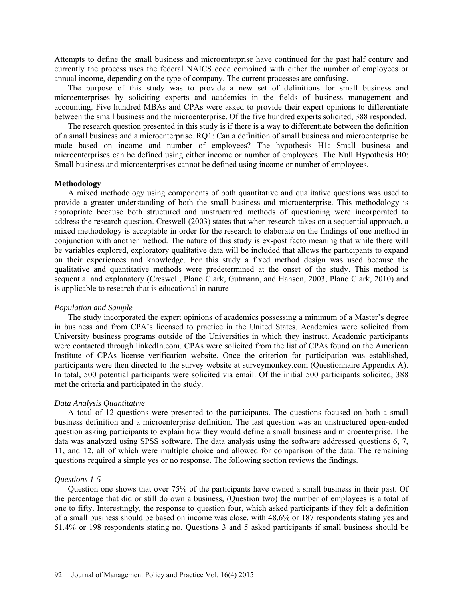Attempts to define the small business and microenterprise have continued for the past half century and currently the process uses the federal NAICS code combined with either the number of employees or annual income, depending on the type of company. The current processes are confusing.

The purpose of this study was to provide a new set of definitions for small business and microenterprises by soliciting experts and academics in the fields of business management and accounting. Five hundred MBAs and CPAs were asked to provide their expert opinions to differentiate between the small business and the microenterprise. Of the five hundred experts solicited, 388 responded.

The research question presented in this study is if there is a way to differentiate between the definition of a small business and a microenterprise. RQ1: Can a definition of small business and microenterprise be made based on income and number of employees? The hypothesis H1: Small business and microenterprises can be defined using either income or number of employees. The Null Hypothesis H0: Small business and microenterprises cannot be defined using income or number of employees.

#### **Methodology**

A mixed methodology using components of both quantitative and qualitative questions was used to provide a greater understanding of both the small business and microenterprise. This methodology is appropriate because both structured and unstructured methods of questioning were incorporated to address the research question. Creswell (2003) states that when research takes on a sequential approach, a mixed methodology is acceptable in order for the research to elaborate on the findings of one method in conjunction with another method. The nature of this study is ex-post facto meaning that while there will be variables explored, exploratory qualitative data will be included that allows the participants to expand on their experiences and knowledge. For this study a fixed method design was used because the qualitative and quantitative methods were predetermined at the onset of the study. This method is sequential and explanatory (Creswell, Plano Clark, Gutmann, and Hanson, 2003; Plano Clark, 2010) and is applicable to research that is educational in nature

#### *Population and Sample*

The study incorporated the expert opinions of academics possessing a minimum of a Master's degree in business and from CPA's licensed to practice in the United States. Academics were solicited from University business programs outside of the Universities in which they instruct. Academic participants were contacted through linkedIn.com. CPAs were solicited from the list of CPAs found on the American Institute of CPAs license verification website. Once the criterion for participation was established, participants were then directed to the survey website at surveymonkey.com (Questionnaire Appendix A). In total, 500 potential participants were solicited via email. Of the initial 500 participants solicited, 388 met the criteria and participated in the study.

#### *Data Analysis Quantitative*

A total of 12 questions were presented to the participants. The questions focused on both a small business definition and a microenterprise definition. The last question was an unstructured open-ended question asking participants to explain how they would define a small business and microenterprise. The data was analyzed using SPSS software. The data analysis using the software addressed questions 6, 7, 11, and 12, all of which were multiple choice and allowed for comparison of the data. The remaining questions required a simple yes or no response. The following section reviews the findings.

#### *Questions 1-5*

Question one shows that over 75% of the participants have owned a small business in their past. Of the percentage that did or still do own a business, (Question two) the number of employees is a total of one to fifty. Interestingly, the response to question four, which asked participants if they felt a definition of a small business should be based on income was close, with 48.6% or 187 respondents stating yes and 51.4% or 198 respondents stating no. Questions 3 and 5 asked participants if small business should be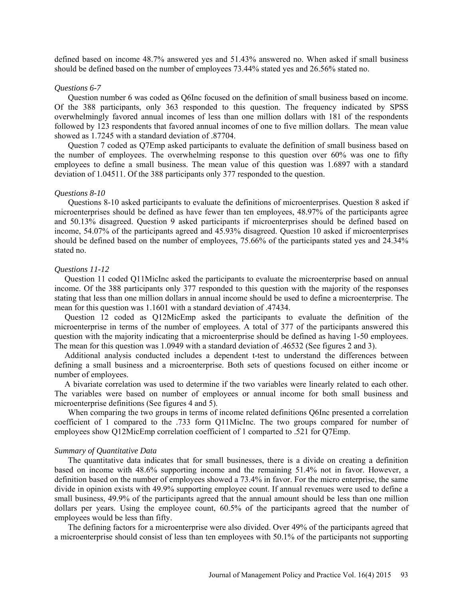defined based on income 48.7% answered yes and 51.43% answered no. When asked if small business should be defined based on the number of employees 73.44% stated yes and 26.56% stated no.

#### *Questions 6-7*

Question number 6 was coded as Q6Inc focused on the definition of small business based on income. Of the 388 participants, only 363 responded to this question. The frequency indicated by SPSS overwhelmingly favored annual incomes of less than one million dollars with 181 of the respondents followed by 123 respondents that favored annual incomes of one to five million dollars. The mean value showed as 1.7245 with a standard deviation of .87704.

Question 7 coded as Q7Emp asked participants to evaluate the definition of small business based on the number of employees. The overwhelming response to this question over 60% was one to fifty employees to define a small business. The mean value of this question was 1.6897 with a standard deviation of 1.04511. Of the 388 participants only 377 responded to the question.

#### *Questions 8-10*

Questions 8-10 asked participants to evaluate the definitions of microenterprises. Question 8 asked if microenterprises should be defined as have fewer than ten employees, 48.97% of the participants agree and 50.13% disagreed. Question 9 asked participants if microenterprises should be defined based on income, 54.07% of the participants agreed and 45.93% disagreed. Question 10 asked if microenterprises should be defined based on the number of employees, 75.66% of the participants stated yes and 24.34% stated no.

### *Questions 11-12*

Question 11 coded Q11MicInc asked the participants to evaluate the microenterprise based on annual income. Of the 388 participants only 377 responded to this question with the majority of the responses stating that less than one million dollars in annual income should be used to define a microenterprise. The mean for this question was 1.1601 with a standard deviation of .47434.

Question 12 coded as Q12MicEmp asked the participants to evaluate the definition of the microenterprise in terms of the number of employees. A total of 377 of the participants answered this question with the majority indicating that a microenterprise should be defined as having 1-50 employees. The mean for this question was 1.0949 with a standard deviation of .46532 (See figures 2 and 3).

Additional analysis conducted includes a dependent t-test to understand the differences between defining a small business and a microenterprise. Both sets of questions focused on either income or number of employees.

A bivariate correlation was used to determine if the two variables were linearly related to each other. The variables were based on number of employees or annual income for both small business and microenterprise definitions (See figures 4 and 5).

When comparing the two groups in terms of income related definitions Q6Inc presented a correlation coefficient of 1 compared to the .733 form Q11MicInc. The two groups compared for number of employees show Q12MicEmp correlation coefficient of 1 comparted to .521 for Q7Emp.

#### *Summary of Quantitative Data*

The quantitative data indicates that for small businesses, there is a divide on creating a definition based on income with 48.6% supporting income and the remaining 51.4% not in favor. However, a definition based on the number of employees showed a 73.4% in favor. For the micro enterprise, the same divide in opinion exists with 49.9% supporting employee count. If annual revenues were used to define a small business, 49.9% of the participants agreed that the annual amount should be less than one million dollars per years. Using the employee count, 60.5% of the participants agreed that the number of employees would be less than fifty.

The defining factors for a microenterprise were also divided. Over 49% of the participants agreed that a microenterprise should consist of less than ten employees with 50.1% of the participants not supporting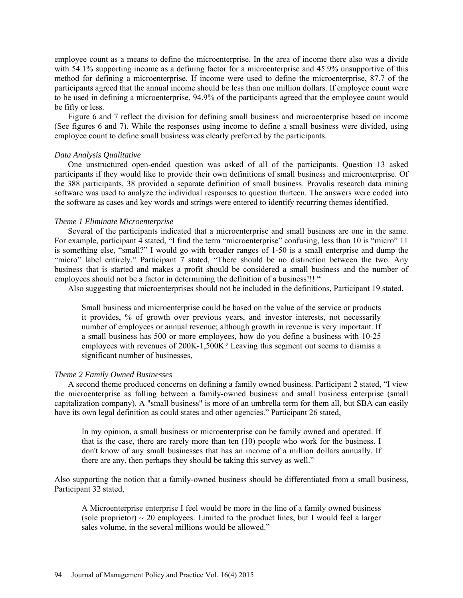employee count as a means to define the microenterprise. In the area of income there also was a divide with 54.1% supporting income as a defining factor for a microenterprise and 45.9% unsupportive of this method for defining a microenterprise. If income were used to define the microenterprise, 87.7 of the participants agreed that the annual income should be less than one million dollars. If employee count were to be used in defining a microenterprise, 94.9% of the participants agreed that the employee count would be fifty or less.

Figure 6 and 7 reflect the division for defining small business and microenterprise based on income (See figures 6 and 7). While the responses using income to define a small business were divided, using employee count to define small business was clearly preferred by the participants.

#### *Data Analysis Qualitative*

One unstructured open-ended question was asked of all of the participants. Question 13 asked participants if they would like to provide their own definitions of small business and microenterprise. Of the 388 participants, 38 provided a separate definition of small business. Provalis research data mining software was used to analyze the individual responses to question thirteen. The answers were coded into the software as cases and key words and strings were entered to identify recurring themes identified.

#### *Theme 1 Eliminate Microenterprise*

Several of the participants indicated that a microenterprise and small business are one in the same. For example, participant 4 stated, "I find the term "microenterprise" confusing, less than 10 is "micro" 11 is something else, "small?" I would go with broader ranges of 1-50 is a small enterprise and dump the "micro" label entirely." Participant 7 stated, "There should be no distinction between the two. Any business that is started and makes a profit should be considered a small business and the number of employees should not be a factor in determining the definition of a business!!! "

Also suggesting that microenterprises should not be included in the definitions, Participant 19 stated,

Small business and microenterprise could be based on the value of the service or products it provides, % of growth over previous years, and investor interests, not necessarily number of employees or annual revenue; although growth in revenue is very important. If a small business has 500 or more employees, how do you define a business with 10-25 employees with revenues of 200K-1,500K? Leaving this segment out seems to dismiss a significant number of businesses,

#### *Theme 2 Family Owned Businesses*

A second theme produced concerns on defining a family owned business. Participant 2 stated, "I view the microenterprise as falling between a family-owned business and small business enterprise (small capitalization company). A "small business" is more of an umbrella term for them all, but SBA can easily have its own legal definition as could states and other agencies." Participant 26 stated,

In my opinion, a small business or microenterprise can be family owned and operated. If that is the case, there are rarely more than ten (10) people who work for the business. I don't know of any small businesses that has an income of a million dollars annually. If there are any, then perhaps they should be taking this survey as well."

Also supporting the notion that a family-owned business should be differentiated from a small business, Participant 32 stated,

A Microenterprise enterprise I feel would be more in the line of a family owned business (sole proprietor)  $\sim$  20 employees. Limited to the product lines, but I would feel a larger sales volume, in the several millions would be allowed."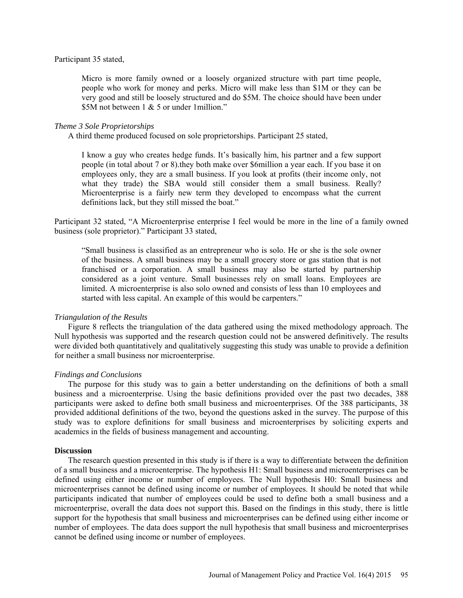#### Participant 35 stated,

Micro is more family owned or a loosely organized structure with part time people, people who work for money and perks. Micro will make less than \$1M or they can be very good and still be loosely structured and do \$5M. The choice should have been under \$5M not between 1 & 5 or under 1 million."

#### *Theme 3 Sole Proprietorships*

A third theme produced focused on sole proprietorships. Participant 25 stated,

I know a guy who creates hedge funds. It's basically him, his partner and a few support people (in total about 7 or 8).they both make over \$6million a year each. If you base it on employees only, they are a small business. If you look at profits (their income only, not what they trade) the SBA would still consider them a small business. Really? Microenterprise is a fairly new term they developed to encompass what the current definitions lack, but they still missed the boat."

Participant 32 stated, "A Microenterprise enterprise I feel would be more in the line of a family owned business (sole proprietor)." Participant 33 stated,

"Small business is classified as an entrepreneur who is solo. He or she is the sole owner of the business. A small business may be a small grocery store or gas station that is not franchised or a corporation. A small business may also be started by partnership considered as a joint venture. Small businesses rely on small loans. Employees are limited. A microenterprise is also solo owned and consists of less than 10 employees and started with less capital. An example of this would be carpenters."

#### *Triangulation of the Results*

Figure 8 reflects the triangulation of the data gathered using the mixed methodology approach. The Null hypothesis was supported and the research question could not be answered definitively. The results were divided both quantitatively and qualitatively suggesting this study was unable to provide a definition for neither a small business nor microenterprise.

### *Findings and Conclusions*

The purpose for this study was to gain a better understanding on the definitions of both a small business and a microenterprise. Using the basic definitions provided over the past two decades, 388 participants were asked to define both small business and microenterprises. Of the 388 participants, 38 provided additional definitions of the two, beyond the questions asked in the survey. The purpose of this study was to explore definitions for small business and microenterprises by soliciting experts and academics in the fields of business management and accounting.

#### **Discussion**

The research question presented in this study is if there is a way to differentiate between the definition of a small business and a microenterprise. The hypothesis H1: Small business and microenterprises can be defined using either income or number of employees. The Null hypothesis H0: Small business and microenterprises cannot be defined using income or number of employees. It should be noted that while participants indicated that number of employees could be used to define both a small business and a microenterprise, overall the data does not support this. Based on the findings in this study, there is little support for the hypothesis that small business and microenterprises can be defined using either income or number of employees. The data does support the null hypothesis that small business and microenterprises cannot be defined using income or number of employees.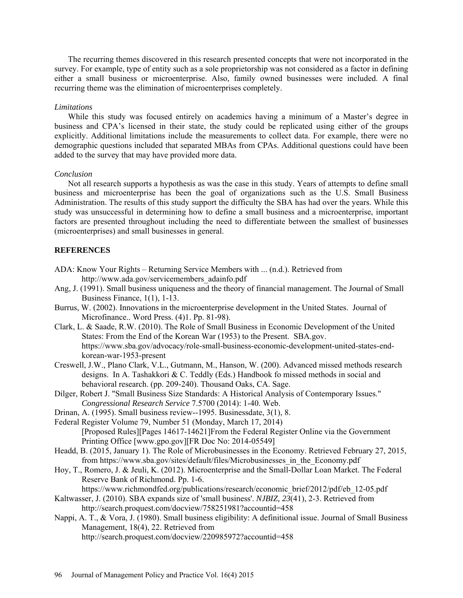The recurring themes discovered in this research presented concepts that were not incorporated in the survey. For example, type of entity such as a sole proprietorship was not considered as a factor in defining either a small business or microenterprise. Also, family owned businesses were included. A final recurring theme was the elimination of microenterprises completely.

#### *Limitations*

While this study was focused entirely on academics having a minimum of a Master's degree in business and CPA's licensed in their state, the study could be replicated using either of the groups explicitly. Additional limitations include the measurements to collect data. For example, there were no demographic questions included that separated MBAs from CPAs. Additional questions could have been added to the survey that may have provided more data.

#### *Conclusion*

Not all research supports a hypothesis as was the case in this study. Years of attempts to define small business and microenterprise has been the goal of organizations such as the U.S. Small Business Administration. The results of this study support the difficulty the SBA has had over the years. While this study was unsuccessful in determining how to define a small business and a microenterprise, important factors are presented throughout including the need to differentiate between the smallest of businesses (microenterprises) and small businesses in general.

### **REFERENCES**

- ADA: Know Your Rights Returning Service Members with ... (n.d.). Retrieved from http://www.ada.gov/servicemembers\_adainfo.pdf
- Ang, J. (1991). Small business uniqueness and the theory of financial management. The Journal of Small Business Finance, 1(1), 1-13.
- Burrus, W. (2002). Innovations in the microenterprise development in the United States. Journal of Microfinance.. Word Press. (4)1. Pp. 81-98).
- Clark, L. & Saade, R.W. (2010). The Role of Small Business in Economic Development of the United States: From the End of the Korean War (1953) to the Present. SBA.gov. https://www.sba.gov/advocacy/role-small-business-economic-development-united-states-endkorean-war-1953-present
- Creswell, J.W., Plano Clark, V.L., Gutmann, M., Hanson, W. (200). Advanced missed methods research designs. In A. Tashakkori & C. Teddly (Eds.) Handbook fo missed methods in social and behavioral research. (pp. 209-240). Thousand Oaks, CA. Sage.
- Dilger, Robert J. "Small Business Size Standards: A Historical Analysis of Contemporary Issues." *Congressional Research Service* 7.5700 (2014): 1-40. Web.
- Drinan, A. (1995). Small business review--1995. Businessdate, 3(1), 8.
- Federal Register Volume 79, Number 51 (Monday, March 17, 2014) [Proposed Rules][Pages 14617-14621]From the Federal Register Online via the Government Printing Office [\[www.gpo.gov\]](http://www.gpo.gov/)[FR Doc No: 2014-05549]
- Headd, B. (2015, January 1). The Role of Microbusinesses in the Economy. Retrieved February 27, 2015, from [https://www.sba.gov/sites/default/files/Microbusinesses\\_in\\_the\\_Economy.pdf](https://www.sba.gov/sites/default/files/Microbusinesses_in_the_Economy.pdf)
- Hoy, T., Romero, J. & Jeuli, K. (2012). Microenterprise and the Small-Dollar Loan Market. The Federal Reserve Bank of Richmond. Pp. 1-6.
	- https://www.richmondfed.org/publications/research/economic\_brief/2012/pdf/eb\_12-05.pdf
- Kaltwasser, J. (2010). SBA expands size of 'small business'. *NJBIZ, 23*(41), 2-3. Retrieved from http://search.proquest.com/docview/758251981?accountid=458
- Nappi, A. T., & Vora, J. (1980). Small business eligibility: A definitional issue. Journal of Small Business Management, 18(4), 22. Retrieved from <http://search.proquest.com/docview/220985972?accountid=458>

96 Journal of Management Policy and Practice Vol. 16(4) 2015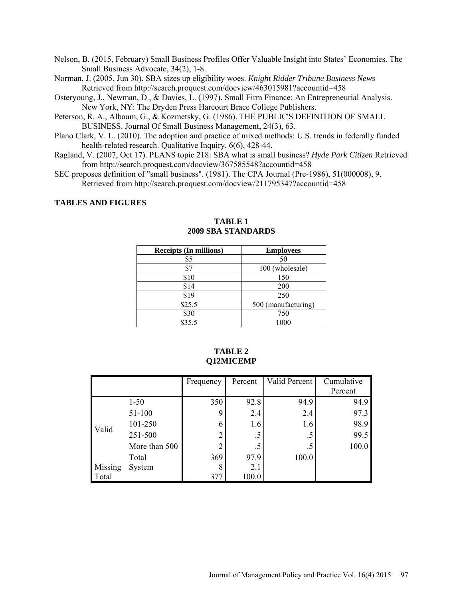- Nelson, B. (2015, February) Small Business Profiles Offer Valuable Insight into States' Economies. The Small Business Advocate, 34(2), 1-8.
- Norman, J. (2005, Jun 30). SBA sizes up eligibility woes. *Knight Ridder Tribune Business News* Retrieved from http://search.proquest.com/docview/463015981?accountid=458
- Osteryoung, J., Newman, D., & Davies, L. (1997). Small Firm Finance: An Entrepreneurial Analysis. New York, NY: The Dryden Press Harcourt Brace College Publishers.
- Peterson, R. A., Albaum, G., & Kozmetsky, G. (1986). THE PUBLIC'S DEFINITION OF SMALL BUSINESS. Journal Of Small Business Management, 24(3), 63.
- Plano Clark, V. L. (2010). The adoption and practice of mixed methods: U.S. trends in federally funded health-related research. Qualitative Inquiry, 6(6), 428-44.
- Ragland, V. (2007, Oct 17). PLANS topic 218: SBA what is small business? *Hyde Park Citizen* Retrieved from http://search.proquest.com/docview/367585548?accountid=458
- SEC proposes definition of "small business". (1981). The CPA Journal (Pre-1986), 51(000008), 9. Retrieved from<http://search.proquest.com/docview/211795347?accountid=458>

#### **TABLES AND FIGURES**

| <b>Receipts (In millions)</b> | <b>Employees</b>    |
|-------------------------------|---------------------|
| \$5                           | 50                  |
| \$7                           | 100 (wholesale)     |
| \$10                          | 150                 |
| \$14                          | 200                 |
| \$19                          | 250                 |
| \$25.5                        | 500 (manufacturing) |
| \$30                          | 750                 |
| \$35.5                        | 1000                |

# **TABLE 1 2009 SBA STANDARDS**

|         |               | Frequency      | Percent | Valid Percent | Cumulative<br>Percent |
|---------|---------------|----------------|---------|---------------|-----------------------|
|         | $1 - 50$      | 350            | 92.8    | 94.9          | 94.9                  |
| Valid   | 51-100        | 9              | 2.4     | 2.4           | 97.3                  |
|         | 101-250       | 6              | 1.6     | 1.6           | 98.9                  |
|         | 251-500       | $\overline{2}$ | .5      | $.5\,$        | 99.5                  |
|         | More than 500 | າ              | .5      | .5            | 100.0                 |
|         | Total         | 369            | 97.9    | 100.0         |                       |
| Missing | System        | 8              | 2.1     |               |                       |
| Total   |               | 377            | 100.0   |               |                       |

### **TABLE 2 Q12MICEMP**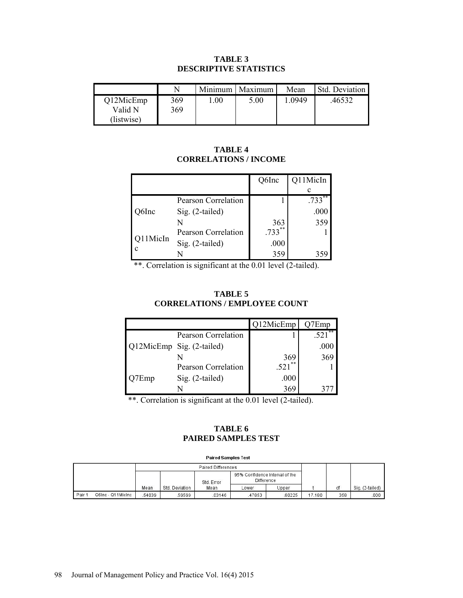### **TABLE 3 DESCRIPTIVE STATISTICS**

|                                    |            | Minimum | . Maximum | Mean   | Std. Deviation |
|------------------------------------|------------|---------|-----------|--------|----------------|
| Q12MicEmp<br>Valid N<br>(listwise) | 369<br>369 | .00     | 5.00      | 1.0949 | 46532          |

## **TABLE 4 CORRELATIONS / INCOME**

|          |                            | Q6Inc     | Q11MicIn  |
|----------|----------------------------|-----------|-----------|
|          |                            |           |           |
|          | Pearson Correlation        |           | $.733***$ |
| )6Inc    | Sig. (2-tailed)            |           | .000      |
|          | N                          | 363       | 359       |
|          | <b>Pearson Correlation</b> | $.733***$ |           |
| 211MicIn | Sig. (2-tailed)            | .000      |           |
|          |                            | 359       |           |

\*\*. Correlation is significant at the 0.01 level (2-tailed).

## **TABLE 5 CORRELATIONS / EMPLOYEE COUNT**

|     |                            | Q12MicEmp  | 7Emp     |
|-----|----------------------------|------------|----------|
|     | Pearson Correlation        |            | $521***$ |
|     | Q12MicEmp Sig. (2-tailed)  |            | .000     |
|     |                            | 369        | 369      |
|     | <b>Pearson Correlation</b> | **<br>.521 |          |
| Emp | Sig. (2-tailed)            | .000       |          |
|     |                            | 369        |          |

\*\*. Correlation is significant at the 0.01 level (2-tailed).

# **TABLE 6 PAIRED SAMPLES TEST**

#### **Paired Samples Test**

|        |                   | <b>Paired Differences</b> |                |            |                                                     |       |        |     |                 |
|--------|-------------------|---------------------------|----------------|------------|-----------------------------------------------------|-------|--------|-----|-----------------|
|        |                   |                           |                | Std. Error | 95% Confidence Interval of the<br><b>Difference</b> |       |        |     |                 |
|        |                   | Mean                      | Std. Deviation | Mean       | ∟ower                                               | Upper |        | df  | Sig. (2-tailed) |
| Pair 1 | Q6Inc - Q11MicInc | 54039                     | 59599          | 03146      | 47853                                               | 60225 | 17.180 | 358 | .000            |